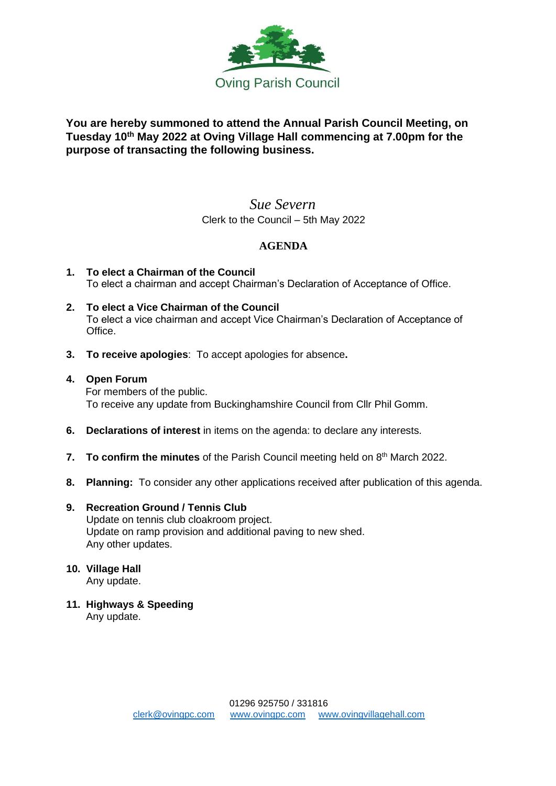

# **You are hereby summoned to attend the Annual Parish Council Meeting, on Tuesday 10th May 2022 at Oving Village Hall commencing at 7.00pm for the purpose of transacting the following business.**

# *Sue Severn* Clerk to the Council – 5th May 2022

# **AGENDA**

- **1. To elect a Chairman of the Council** To elect a chairman and accept Chairman's Declaration of Acceptance of Office.
- **2. To elect a Vice Chairman of the Council** To elect a vice chairman and accept Vice Chairman's Declaration of Acceptance of Office.
- **3. To receive apologies**: To accept apologies for absence**.**

### **4. Open Forum**

For members of the public. To receive any update from Buckinghamshire Council from Cllr Phil Gomm.

- **6. Declarations of interest** in items on the agenda: to declare any interests.
- **7. To confirm the minutes** of the Parish Council meeting held on 8<sup>th</sup> March 2022.
- **8. Planning:** To consider any other applications received after publication of this agenda.

### **9. Recreation Ground / Tennis Club**

Update on tennis club cloakroom project. Update on ramp provision and additional paving to new shed. Any other updates.

# **10. Village Hall**

Any update.

**11. Highways & Speeding**  Any update.